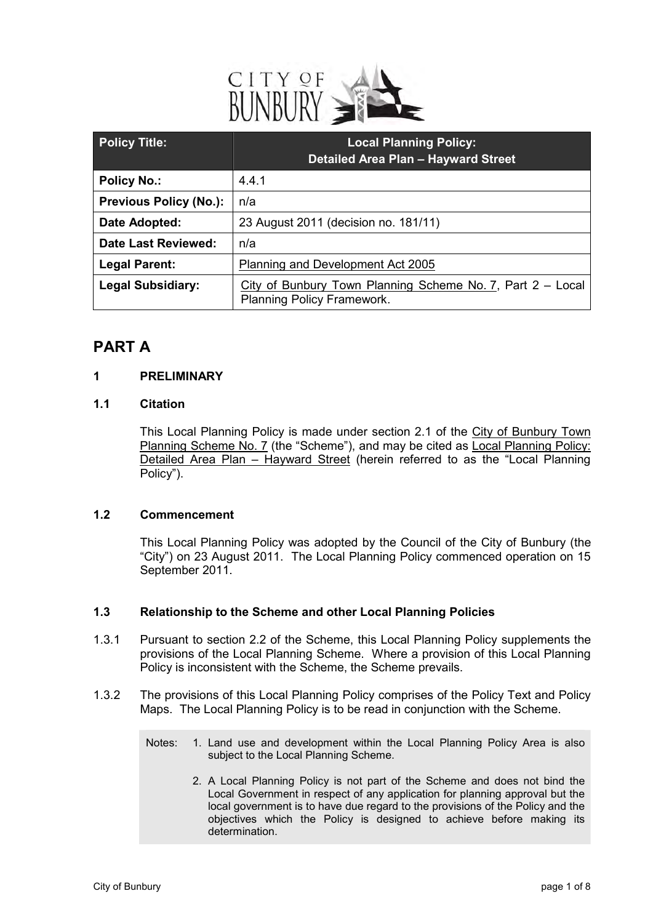

| <b>Policy Title:</b>          | <b>Local Planning Policy:</b><br><b>Detailed Area Plan - Hayward Street</b>              |
|-------------------------------|------------------------------------------------------------------------------------------|
| <b>Policy No.:</b>            | 4.4.1                                                                                    |
| <b>Previous Policy (No.):</b> | n/a                                                                                      |
| Date Adopted:                 | 23 August 2011 (decision no. 181/11)                                                     |
| <b>Date Last Reviewed:</b>    | n/a                                                                                      |
| <b>Legal Parent:</b>          | Planning and Development Act 2005                                                        |
| <b>Legal Subsidiary:</b>      | City of Bunbury Town Planning Scheme No. 7, Part 2 - Local<br>Planning Policy Framework. |

### **PART A**

#### **1 PRELIMINARY**

#### **1.1 Citation**

This Local Planning Policy is made under section 2.1 of the City of Bunbury Town Planning Scheme No. 7 (the "Scheme"), and may be cited as Local Planning Policy: Detailed Area Plan – Hayward Street (herein referred to as the "Local Planning Policy").

#### **1.2 Commencement**

This Local Planning Policy was adopted by the Council of the City of Bunbury (the "City") on 23 August 2011. The Local Planning Policy commenced operation on 15 September 2011.

#### **1.3 Relationship to the Scheme and other Local Planning Policies**

- 1.3.1 Pursuant to section 2.2 of the Scheme, this Local Planning Policy supplements the provisions of the Local Planning Scheme. Where a provision of this Local Planning Policy is inconsistent with the Scheme, the Scheme prevails.
- 1.3.2 The provisions of this Local Planning Policy comprises of the Policy Text and Policy Maps. The Local Planning Policy is to be read in conjunction with the Scheme.
	- Notes: 1. Land use and development within the Local Planning Policy Area is also subject to the Local Planning Scheme.
		- 2. A Local Planning Policy is not part of the Scheme and does not bind the Local Government in respect of any application for planning approval but the local government is to have due regard to the provisions of the Policy and the objectives which the Policy is designed to achieve before making its determination.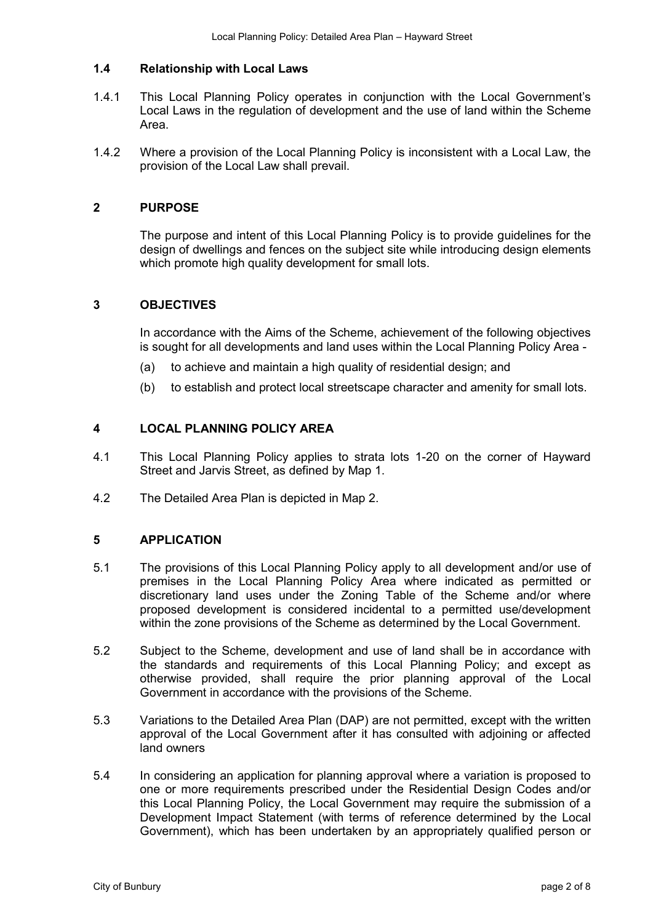#### **1.4 Relationship with Local Laws**

- 1.4.1 This Local Planning Policy operates in conjunction with the Local Government's Local Laws in the regulation of development and the use of land within the Scheme Area.
- 1.4.2 Where a provision of the Local Planning Policy is inconsistent with a Local Law, the provision of the Local Law shall prevail.

#### **2 PURPOSE**

The purpose and intent of this Local Planning Policy is to provide guidelines for the design of dwellings and fences on the subject site while introducing design elements which promote high quality development for small lots.

#### **3 OBJECTIVES**

In accordance with the Aims of the Scheme, achievement of the following objectives is sought for all developments and land uses within the Local Planning Policy Area -

- (a) to achieve and maintain a high quality of residential design; and
- (b) to establish and protect local streetscape character and amenity for small lots.

#### **4 LOCAL PLANNING POLICY AREA**

- 4.1 This Local Planning Policy applies to strata lots 1-20 on the corner of Hayward Street and Jarvis Street, as defined by Map 1.
- 4.2 The Detailed Area Plan is depicted in Map 2.

#### **5 APPLICATION**

- 5.1 The provisions of this Local Planning Policy apply to all development and/or use of premises in the Local Planning Policy Area where indicated as permitted or discretionary land uses under the Zoning Table of the Scheme and/or where proposed development is considered incidental to a permitted use/development within the zone provisions of the Scheme as determined by the Local Government.
- 5.2 Subject to the Scheme, development and use of land shall be in accordance with the standards and requirements of this Local Planning Policy; and except as otherwise provided, shall require the prior planning approval of the Local Government in accordance with the provisions of the Scheme.
- 5.3 Variations to the Detailed Area Plan (DAP) are not permitted, except with the written approval of the Local Government after it has consulted with adjoining or affected land owners
- 5.4 In considering an application for planning approval where a variation is proposed to one or more requirements prescribed under the Residential Design Codes and/or this Local Planning Policy, the Local Government may require the submission of a Development Impact Statement (with terms of reference determined by the Local Government), which has been undertaken by an appropriately qualified person or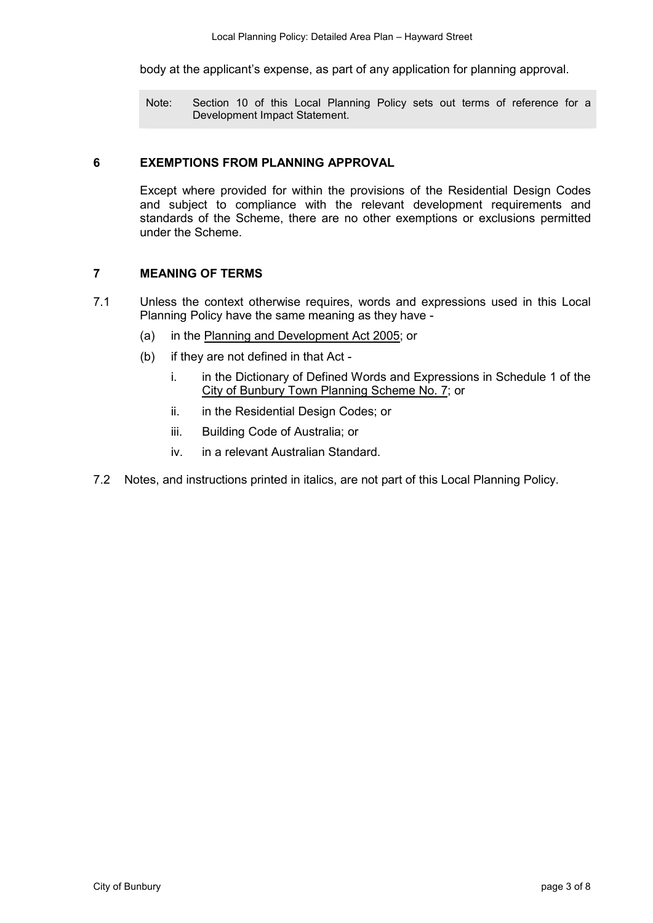body at the applicant's expense, as part of any application for planning approval.

Note: Section 10 of this Local Planning Policy sets out terms of reference for a Development Impact Statement.

#### **6 EXEMPTIONS FROM PLANNING APPROVAL**

Except where provided for within the provisions of the Residential Design Codes and subject to compliance with the relevant development requirements and standards of the Scheme, there are no other exemptions or exclusions permitted under the Scheme.

#### **7 MEANING OF TERMS**

- 7.1 Unless the context otherwise requires, words and expressions used in this Local Planning Policy have the same meaning as they have -
	- (a) in the Planning and Development Act 2005; or
	- (b) if they are not defined in that Act
		- i. in the Dictionary of Defined Words and Expressions in Schedule 1 of the City of Bunbury Town Planning Scheme No. 7; or
		- ii. in the Residential Design Codes; or
		- iii. Building Code of Australia; or
		- iv. in a relevant Australian Standard.
- 7.2 Notes, and instructions printed in italics, are not part of this Local Planning Policy.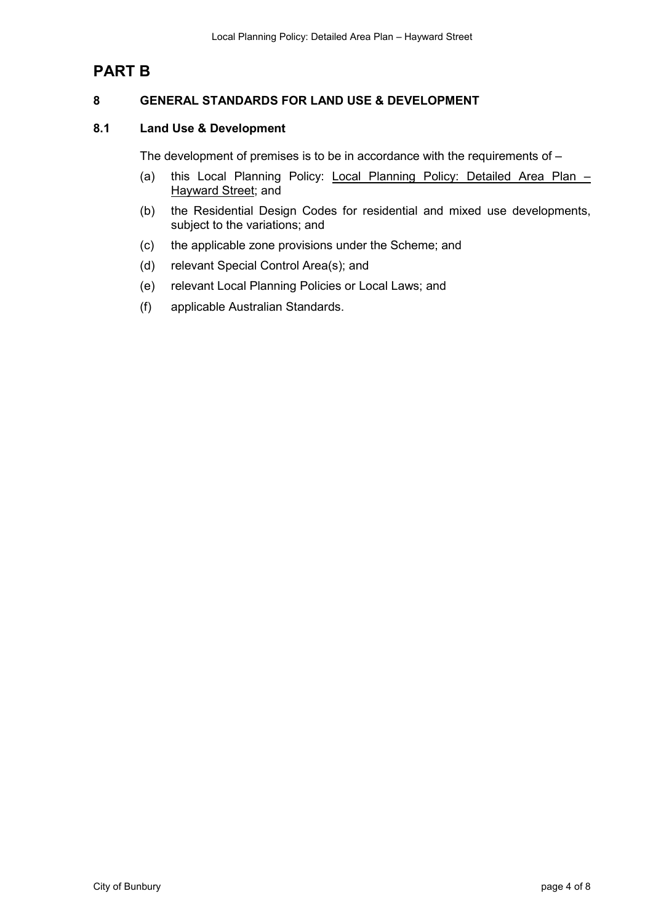## **PART B**

#### **8 GENERAL STANDARDS FOR LAND USE & DEVELOPMENT**

#### **8.1 Land Use & Development**

The development of premises is to be in accordance with the requirements of –

- (a) this Local Planning Policy: Local Planning Policy: Detailed Area Plan Hayward Street; and
- (b) the Residential Design Codes for residential and mixed use developments, subject to the variations; and
- (c) the applicable zone provisions under the Scheme; and
- (d) relevant Special Control Area(s); and
- (e) relevant Local Planning Policies or Local Laws; and
- (f) applicable Australian Standards.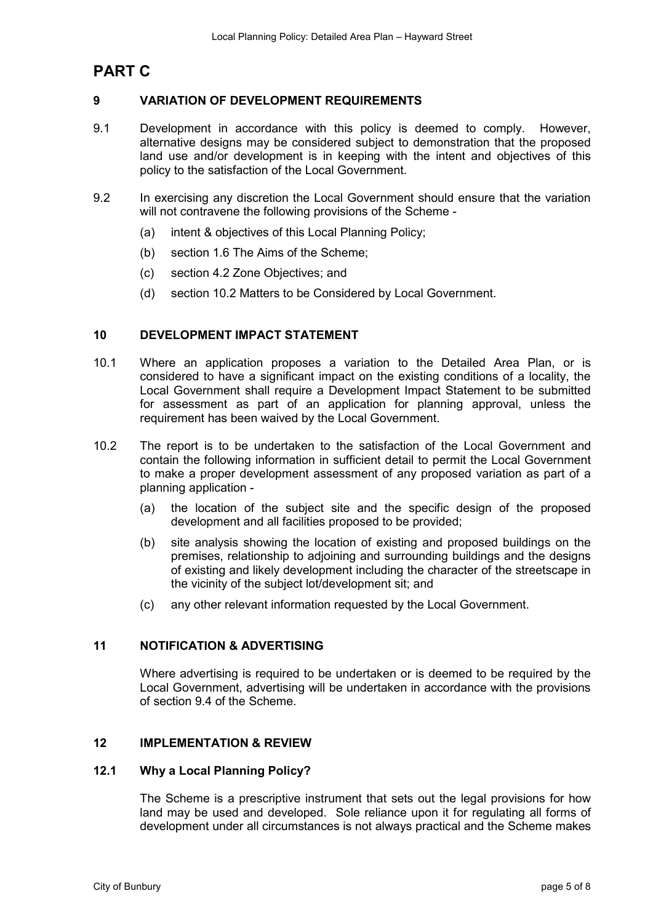## **PART C**

#### **9 VARIATION OF DEVELOPMENT REQUIREMENTS**

- 9.1 Development in accordance with this policy is deemed to comply. However, alternative designs may be considered subject to demonstration that the proposed land use and/or development is in keeping with the intent and objectives of this policy to the satisfaction of the Local Government.
- 9.2 In exercising any discretion the Local Government should ensure that the variation will not contravene the following provisions of the Scheme -
	- (a) intent & objectives of this Local Planning Policy;
	- (b) section 1.6 The Aims of the Scheme;
	- (c) section 4.2 Zone Objectives; and
	- (d) section 10.2 Matters to be Considered by Local Government.

#### **10 DEVELOPMENT IMPACT STATEMENT**

- 10.1 Where an application proposes a variation to the Detailed Area Plan, or is considered to have a significant impact on the existing conditions of a locality, the Local Government shall require a Development Impact Statement to be submitted for assessment as part of an application for planning approval, unless the requirement has been waived by the Local Government.
- 10.2 The report is to be undertaken to the satisfaction of the Local Government and contain the following information in sufficient detail to permit the Local Government to make a proper development assessment of any proposed variation as part of a planning application -
	- (a) the location of the subject site and the specific design of the proposed development and all facilities proposed to be provided;
	- (b) site analysis showing the location of existing and proposed buildings on the premises, relationship to adjoining and surrounding buildings and the designs of existing and likely development including the character of the streetscape in the vicinity of the subject lot/development sit; and
	- (c) any other relevant information requested by the Local Government.

#### **11 NOTIFICATION & ADVERTISING**

Where advertising is required to be undertaken or is deemed to be required by the Local Government, advertising will be undertaken in accordance with the provisions of section 9.4 of the Scheme.

#### **12 IMPLEMENTATION & REVIEW**

#### **12.1 Why a Local Planning Policy?**

The Scheme is a prescriptive instrument that sets out the legal provisions for how land may be used and developed. Sole reliance upon it for regulating all forms of development under all circumstances is not always practical and the Scheme makes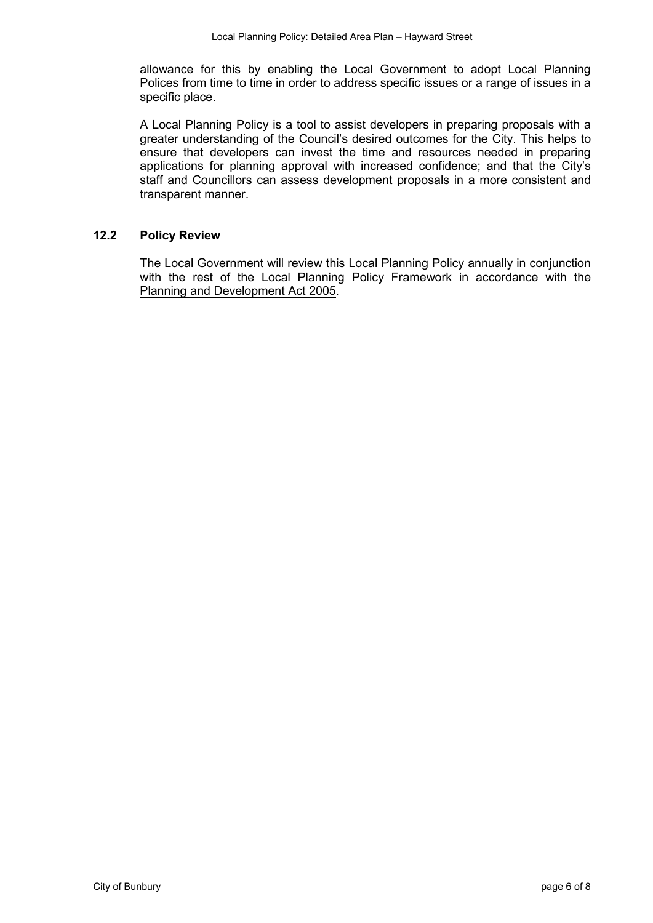allowance for this by enabling the Local Government to adopt Local Planning Polices from time to time in order to address specific issues or a range of issues in a specific place.

A Local Planning Policy is a tool to assist developers in preparing proposals with a greater understanding of the Council's desired outcomes for the City. This helps to ensure that developers can invest the time and resources needed in preparing applications for planning approval with increased confidence; and that the City's staff and Councillors can assess development proposals in a more consistent and transparent manner.

#### **12.2 Policy Review**

The Local Government will review this Local Planning Policy annually in conjunction with the rest of the Local Planning Policy Framework in accordance with the Planning and Development Act 2005.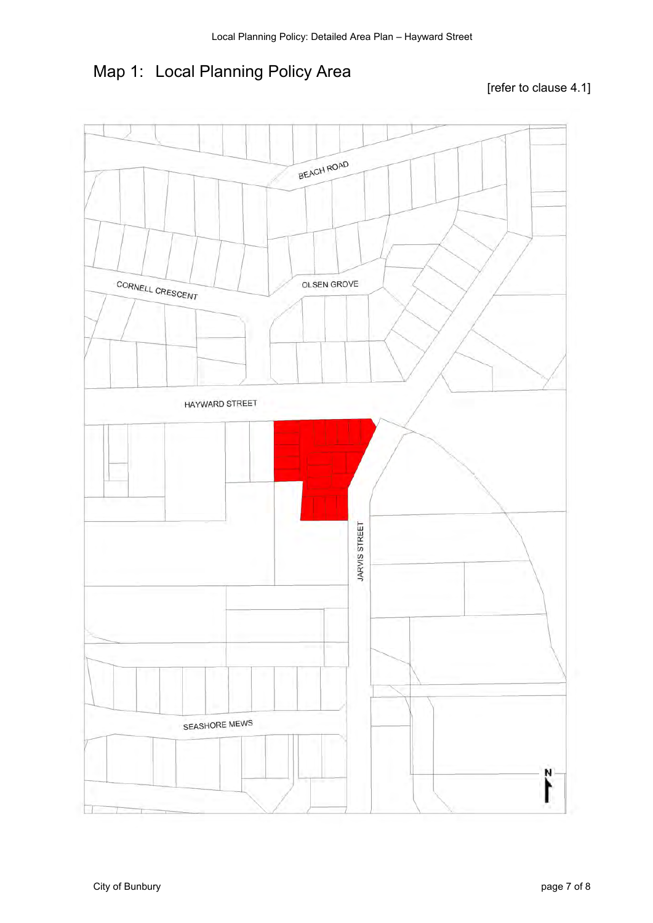## Map 1: Local Planning Policy Area

#### [refer to clause 4.1]